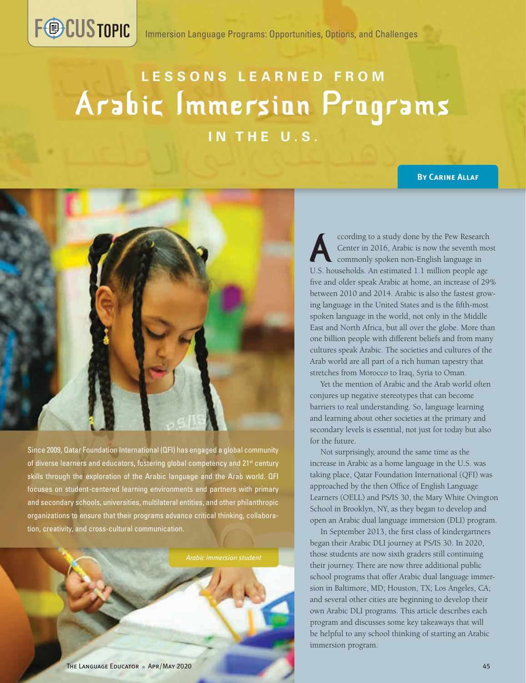# **LESSONS LEARNED FROM** Arabic Immersion Programs **IN THE U.S.**

#### **By Carine Allaf**



**FOCUSTOPIC** 

Since 2009, Qatar Foundation International (QFI) has engaged a global community of diverse learners and educators, fostering global competency and 21<sup>st</sup> century skills through the exploration of the Arabic language and the Arab world. QFI focuses on student-centered learning environments and partners with primary and secondary schools, universities, multilateral entities, and other philanthropic organizations to ensure that their programs advance critical thinking, collaboration, creativity, and cross-cultural communication.

*Arabic immersion student*

ccording to a study done by the Pew Research Center in 2016, Arabic is now the seventh most commonly spoken non-English language in U.S. households. An estimated 1.1 million people age five and older speak Arabic at home, an increase of 29% between 2010 and 2014. Arabic is also the fastest growing language in the United States and is the fifth-most spoken language in the world, not only in the Middle East and North Africa, but all over the globe. More than one billion people with different beliefs and from many cultures speak Arabic. The societies and cultures of the Arab world are all part of a rich human tapestry that stretches from Morocco to Iraq, Syria to Oman.

Yet the mention of Arabic and the Arab world often conjures up negative stereotypes that can become barriers to real understanding. So, language learning and learning about other societies at the primary and secondary levels is essential, not just for today but also for the future.

Not surprisingly, around the same time as the increase in Arabic as a home language in the U.S. was taking place, Qatar Foundation International (QFI) was approached by the then Office of English Language Learners (OELL) and PS/IS 30, the Mary White Ovington School in Brooklyn, NY, as they began to develop and open an Arabic dual language immersion (DLI) program.

In September 2013, the first class of kindergartners began their Arabic DLI journey at PS/IS 30. In 2020, those students are now sixth graders still continuing their journey. There are now three additional public school programs that offer Arabic dual language immersion in Baltimore, MD; Houston, TX; Los Angeles, CA; and several other cities are beginning to develop their own Arabic DLI programs. This article describes each program and discusses some key takeaways that will be helpful to any school thinking of starting an Arabic immersion program.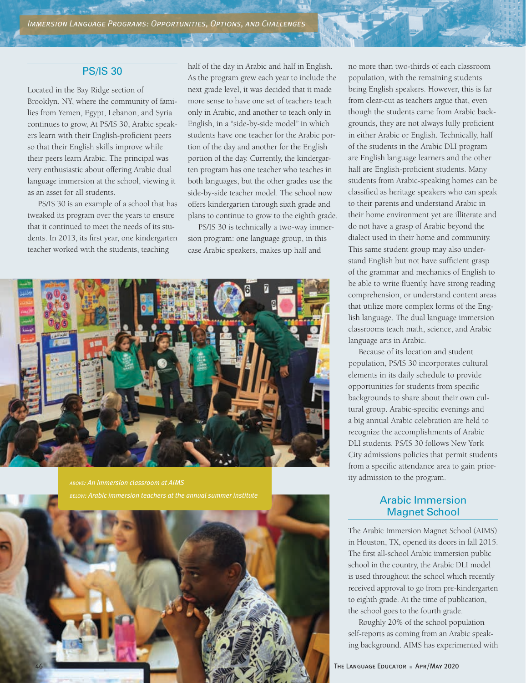# PS/IS 30

**CART LITE** 

Located in the Bay Ridge section of Brooklyn, NY, where the community of families from Yemen, Egypt, Lebanon, and Syria continues to grow, At PS/IS 30, Arabic speakers learn with their English-proficient peers so that their English skills improve while their peers learn Arabic. The principal was very enthusiastic about offering Arabic dual language immersion at the school, viewing it as an asset for all students.

PS/IS 30 is an example of a school that has tweaked its program over the years to ensure that it continued to meet the needs of its students. In 2013, its first year, one kindergarten teacher worked with the students, teaching

half of the day in Arabic and half in English. As the program grew each year to include the next grade level, it was decided that it made more sense to have one set of teachers teach only in Arabic, and another to teach only in English, in a "side-by-side model" in which students have one teacher for the Arabic portion of the day and another for the English portion of the day. Currently, the kindergarten program has one teacher who teaches in both languages, but the other grades use the side-by-side teacher model. The school now offers kindergarten through sixth grade and plans to continue to grow to the eighth grade.

PS/IS 30 is technically a two-way immersion program: one language group, in this case Arabic speakers, makes up half and



*above: An immersion classroom at AIMS below: Arabic immersion teachers at the annual summer institute*



no more than two-thirds of each classroom population, with the remaining students being English speakers. However, this is far from clear-cut as teachers argue that, even though the students came from Arabic backgrounds, they are not always fully proficient in either Arabic or English. Technically, half of the students in the Arabic DLI program are English language learners and the other half are English-proficient students. Many students from Arabic-speaking homes can be classified as heritage speakers who can speak to their parents and understand Arabic in their home environment yet are illiterate and do not have a grasp of Arabic beyond the dialect used in their home and community. This same student group may also understand English but not have sufficient grasp of the grammar and mechanics of English to be able to write fluently, have strong reading comprehension, or understand content areas that utilize more complex forms of the English language. The dual language immersion classrooms teach math, science, and Arabic language arts in Arabic.

Because of its location and student population, PS/IS 30 incorporates cultural elements in its daily schedule to provide opportunities for students from specific backgrounds to share about their own cultural group. Arabic-specific evenings and a big annual Arabic celebration are held to recognize the accomplishments of Arabic DLI students. PS/IS 30 follows New York City admissions policies that permit students from a specific attendance area to gain priority admission to the program.

# Arabic Immersion Magnet School

The Arabic Immersion Magnet School (AIMS) in Houston, TX, opened its doors in fall 2015. The first all-school Arabic immersion public school in the country, the Arabic DLI model is used throughout the school which recently received approval to go from pre-kindergarten to eighth grade. At the time of publication, the school goes to the fourth grade.

Roughly 20% of the school population self-reports as coming from an Arabic speaking background. AIMS has experimented with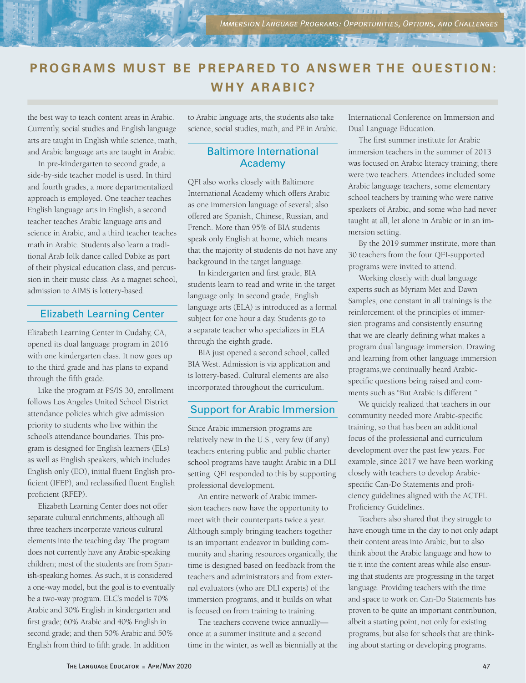# **PROGRAMS MUST BE PREPARED TO ANSWER THE OUESTION: WHY ARABIC?**

the best way to teach content areas in Arabic. Currently, social studies and English language arts are taught in English while science, math, and Arabic language arts are taught in Arabic.

In pre-kindergarten to second grade, a side-by-side teacher model is used. In third and fourth grades, a more departmentalized approach is employed. One teacher teaches English language arts in English, a second teacher teaches Arabic language arts and science in Arabic, and a third teacher teaches math in Arabic. Students also learn a traditional Arab folk dance called Dabke as part of their physical education class, and percussion in their music class. As a magnet school, admission to AIMS is lottery-based.

#### Elizabeth Learning Center

Elizabeth Learning Center in Cudahy, CA, opened its dual language program in 2016 with one kindergarten class. It now goes up to the third grade and has plans to expand through the fifth grade.

Like the program at PS/IS 30, enrollment follows Los Angeles United School District attendance policies which give admission priority to students who live within the school's attendance boundaries. This program is designed for English learners (ELs) as well as English speakers, which includes English only (EO), initial fluent English proficient (IFEP), and reclassified fluent English proficient (RFEP).

Elizabeth Learning Center does not offer separate cultural enrichments, although all three teachers incorporate various cultural elements into the teaching day. The program does not currently have any Arabic-speaking children; most of the students are from Spanish-speaking homes. As such, it is considered a one-way model, but the goal is to eventually be a two-way program. ELC's model is 70% Arabic and 30% English in kindergarten and first grade; 60% Arabic and 40% English in second grade; and then 50% Arabic and 50% English from third to fifth grade. In addition

to Arabic language arts, the students also take science, social studies, math, and PE in Arabic.

#### Baltimore International Academy

QFI also works closely with Baltimore International Academy which offers Arabic as one immersion language of several; also offered are Spanish, Chinese, Russian, and French. More than 95% of BIA students speak only English at home, which means that the majority of students do not have any background in the target language.

In kindergarten and first grade, BIA students learn to read and write in the target language only. In second grade, English language arts (ELA) is introduced as a formal subject for one hour a day. Students go to a separate teacher who specializes in ELA through the eighth grade.

BIA just opened a second school, called BIA West. Admission is via application and is lottery-based. Cultural elements are also incorporated throughout the curriculum.

# Support for Arabic Immersion

Since Arabic immersion programs are relatively new in the U.S., very few (if any) teachers entering public and public charter school programs have taught Arabic in a DLI setting. QFI responded to this by supporting professional development.

An entire network of Arabic immersion teachers now have the opportunity to meet with their counterparts twice a year. Although simply bringing teachers together is an important endeavor in building community and sharing resources organically, the time is designed based on feedback from the teachers and administrators and from external evaluators (who are DLI experts) of the immersion programs, and it builds on what is focused on from training to training.

The teachers convene twice annually once at a summer institute and a second time in the winter, as well as biennially at the International Conference on Immersion and Dual Language Education.

The first summer institute for Arabic immersion teachers in the summer of 2013 was focused on Arabic literacy training; there were two teachers. Attendees included some Arabic language teachers, some elementary school teachers by training who were native speakers of Arabic, and some who had never taught at all, let alone in Arabic or in an immersion setting.

By the 2019 summer institute, more than 30 teachers from the four QFI-supported programs were invited to attend.

Working closely with dual language experts such as Myriam Met and Dawn Samples, one constant in all trainings is the reinforcement of the principles of immersion programs and consistently ensuring that we are clearly defining what makes a program dual language immersion. Drawing and learning from other language immersion programs,we continually heard Arabicspecific questions being raised and comments such as "But Arabic is different."

We quickly realized that teachers in our community needed more Arabic-specific training, so that has been an additional focus of the professional and curriculum development over the past few years. For example, since 2017 we have been working closely with teachers to develop Arabicspecific Can-Do Statements and proficiency guidelines aligned with the ACTFL Proficiency Guidelines.

Teachers also shared that they struggle to have enough time in the day to not only adapt their content areas into Arabic, but to also think about the Arabic language and how to tie it into the content areas while also ensuring that students are progressing in the target language. Providing teachers with the time and space to work on Can-Do Statements has proven to be quite an important contribution, albeit a starting point, not only for existing programs, but also for schools that are thinking about starting or developing programs.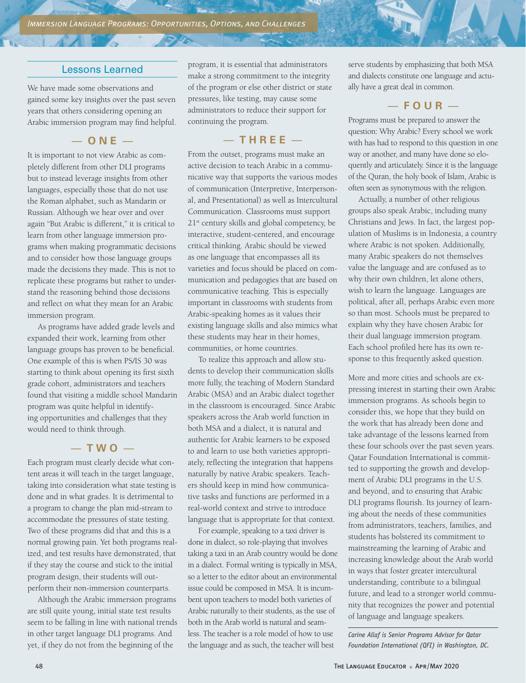#### Lessons Learned

We have made some observations and gained some key insights over the past seven years that others considering opening an Arabic immersion program may find helpful.

— **ONE** —

It is important to not view Arabic as completely different from other DLI programs but to instead leverage insights from other languages, especially those that do not use the Roman alphabet, such as Mandarin or Russian. Although we hear over and over again "But Arabic is different," it is critical to learn from other language immersion programs when making programmatic decisions and to consider how those language groups made the decisions they made. This is not to replicate these programs but rather to understand the reasoning behind those decisions and reflect on what they mean for an Arabic immersion program.

As programs have added grade levels and expanded their work, learning from other language groups has proven to be beneficial. One example of this is when PS/IS 30 was starting to think about opening its first sixth grade cohort, administrators and teachers found that visiting a middle school Mandarin program was quite helpful in identifying opportunities and challenges that they would need to think through.

#### — **TWO** —

Each program must clearly decide what content areas it will teach in the target language, taking into consideration what state testing is done and in what grades. It is detrimental to a program to change the plan mid-stream to accommodate the pressures of state testing. Two of these programs did that and this is a normal growing pain. Yet both programs realized, and test results have demonstrated, that if they stay the course and stick to the initial program design, their students will outperform their non-immersion counterparts.

Although the Arabic immersion programs are still quite young, initial state test results seem to be falling in line with national trends in other target language DLI programs. And yet, if they do not from the beginning of the

program, it is essential that administrators make a strong commitment to the integrity of the program or else other district or state pressures, like testing, may cause some administrators to reduce their support for continuing the program.

# — **THREE** —

From the outset, programs must make an active decision to teach Arabic in a communicative way that supports the various modes of communication (Interpretive, Interpersonal, and Presentational) as well as Intercultural Communication. Classrooms must support 21st century skills and global competency, be interactive, student-centered, and encourage critical thinking. Arabic should be viewed as one language that encompasses all its varieties and focus should be placed on communication and pedagogies that are based on communicative teaching. This is especially important in classrooms with students from Arabic-speaking homes as it values their existing language skills and also mimics what these students may hear in their homes, communities, or home countries.

To realize this approach and allow students to develop their communication skills more fully, the teaching of Modern Standard Arabic (MSA) and an Arabic dialect together in the classroom is encouraged. Since Arabic speakers across the Arab world function in both MSA and a dialect, it is natural and authentic for Arabic learners to be exposed to and learn to use both varieties appropriately, reflecting the integration that happens naturally by native Arabic speakers. Teachers should keep in mind how communicative tasks and functions are performed in a real-world context and strive to introduce language that is appropriate for that context.

For example, speaking to a taxi driver is done in dialect, so role-playing that involves taking a taxi in an Arab country would be done in a dialect. Formal writing is typically in MSA, so a letter to the editor about an environmental issue could be composed in MSA. It is incumbent upon teachers to model both varieties of Arabic naturally to their students, as the use of both in the Arab world is natural and seamless. The teacher is a role model of how to use the language and as such, the teacher will best

serve students by emphasizing that both MSA and dialects constitute one language and actually have a great deal in common.

# — **FOUR** —

Programs must be prepared to answer the question: Why Arabic? Every school we work with has had to respond to this question in one way or another, and many have done so eloquently and articulately. Since it is the language of the Quran, the holy book of Islam, Arabic is often seen as synonymous with the religion.

Actually, a number of other religious groups also speak Arabic, including many Christians and Jews. In fact, the largest population of Muslims is in Indonesia, a country where Arabic is not spoken. Additionally, many Arabic speakers do not themselves value the language and are confused as to why their own children, let alone others, wish to learn the language. Languages are political, after all, perhaps Arabic even more so than most. Schools must be prepared to explain why they have chosen Arabic for their dual language immersion program. Each school profiled here has its own response to this frequently asked question.

More and more cities and schools are expressing interest in starting their own Arabic immersion programs. As schools begin to consider this, we hope that they build on the work that has already been done and take advantage of the lessons learned from these four schools over the past seven years. Qatar Foundation International is committed to supporting the growth and development of Arabic DLI programs in the U.S. and beyond, and to ensuring that Arabic DLI programs flourish. Its journey of learning about the needs of these communities from administrators, teachers, families, and students has bolstered its commitment to mainstreaming the learning of Arabic and increasing knowledge about the Arab world in ways that foster greater intercultural understanding, contribute to a bilingual future, and lead to a stronger world community that recognizes the power and potential of language and language speakers.

*Carine Allaf is Senior Programs Advisor for Qatar Foundation International (QFI) in Washington, DC.*